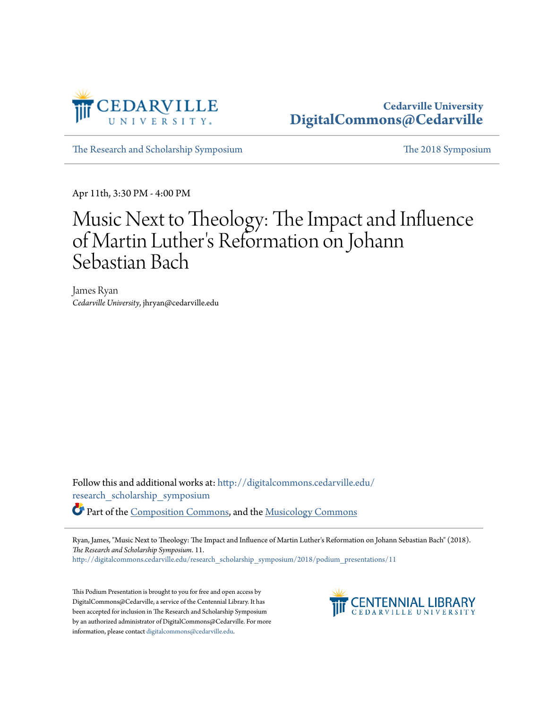

#### **Cedarville University [DigitalCommons@Cedarville](http://digitalcommons.cedarville.edu?utm_source=digitalcommons.cedarville.edu%2Fresearch_scholarship_symposium%2F2018%2Fpodium_presentations%2F11&utm_medium=PDF&utm_campaign=PDFCoverPages)**

[The Research and Scholarship Symposium](http://digitalcommons.cedarville.edu/research_scholarship_symposium?utm_source=digitalcommons.cedarville.edu%2Fresearch_scholarship_symposium%2F2018%2Fpodium_presentations%2F11&utm_medium=PDF&utm_campaign=PDFCoverPages) [The 2018 Symposium](http://digitalcommons.cedarville.edu/research_scholarship_symposium/2018?utm_source=digitalcommons.cedarville.edu%2Fresearch_scholarship_symposium%2F2018%2Fpodium_presentations%2F11&utm_medium=PDF&utm_campaign=PDFCoverPages)

Apr 11th, 3:30 PM - 4:00 PM

#### Music Next to Theology: The Impact and Influence of Martin Luther 's Reformation on Johann Sebastian Bach

James Ryan *Cedarville University*, jhryan@cedarville.edu

Follow this and additional works at: [http://digitalcommons.cedarville.edu/](http://digitalcommons.cedarville.edu/research_scholarship_symposium?utm_source=digitalcommons.cedarville.edu%2Fresearch_scholarship_symposium%2F2018%2Fpodium_presentations%2F11&utm_medium=PDF&utm_campaign=PDFCoverPages) [research\\_scholarship\\_symposium](http://digitalcommons.cedarville.edu/research_scholarship_symposium?utm_source=digitalcommons.cedarville.edu%2Fresearch_scholarship_symposium%2F2018%2Fpodium_presentations%2F11&utm_medium=PDF&utm_campaign=PDFCoverPages) Part of the [Composition Commons,](http://network.bepress.com/hgg/discipline/519?utm_source=digitalcommons.cedarville.edu%2Fresearch_scholarship_symposium%2F2018%2Fpodium_presentations%2F11&utm_medium=PDF&utm_campaign=PDFCoverPages) and the [Musicology Commons](http://network.bepress.com/hgg/discipline/521?utm_source=digitalcommons.cedarville.edu%2Fresearch_scholarship_symposium%2F2018%2Fpodium_presentations%2F11&utm_medium=PDF&utm_campaign=PDFCoverPages)

Ryan, James, "Music Next to Theology: The Impact and Influence of Martin Luther's Reformation on Johann Sebastian Bach" (2018). *The Research and Scholarship Symposium*. 11.

[http://digitalcommons.cedarville.edu/research\\_scholarship\\_symposium/2018/podium\\_presentations/11](http://digitalcommons.cedarville.edu/research_scholarship_symposium/2018/podium_presentations/11?utm_source=digitalcommons.cedarville.edu%2Fresearch_scholarship_symposium%2F2018%2Fpodium_presentations%2F11&utm_medium=PDF&utm_campaign=PDFCoverPages)

This Podium Presentation is brought to you for free and open access by DigitalCommons@Cedarville, a service of the Centennial Library. It has been accepted for inclusion in The Research and Scholarship Symposium by an authorized administrator of DigitalCommons@Cedarville. For more information, please contact [digitalcommons@cedarville.edu.](mailto:digitalcommons@cedarville.edu)

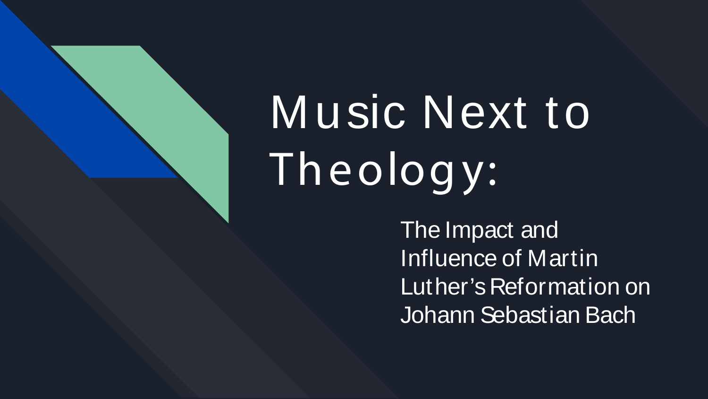# Music Next to Theology:

The Impact and Influence of Martin Luther's Reformation on Johann Sebastian Bach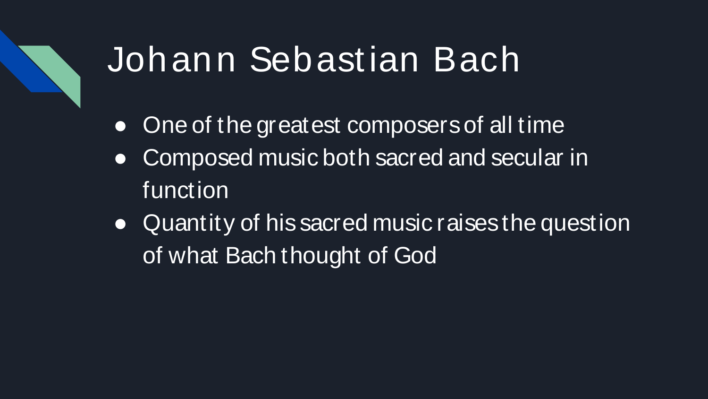#### Johann Sebastian Bach

- One of the greatest composers of all time
- Composed music both sacred and secular in function
- Quantity of his sacred music raises the question of what Bach thought of God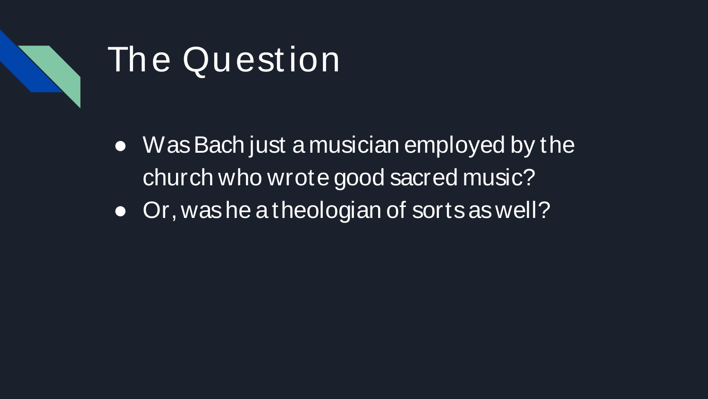

#### The Question

- Was Bach just a musician employed by the church who wrote good sacred music?
- Or, was he a theologian of sorts as well?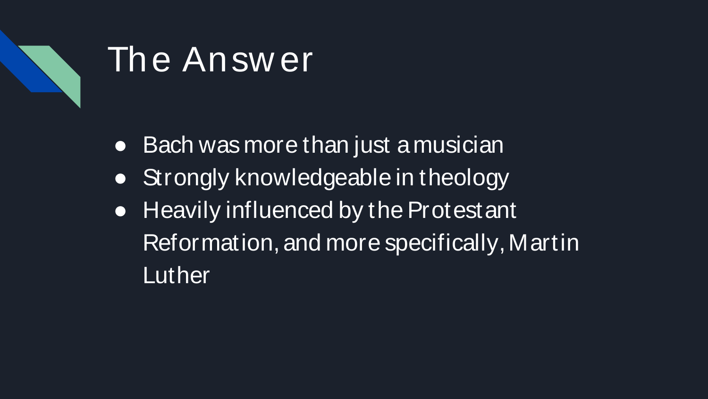

#### The Answ er

- Bach was more than just a musician
- Strongly knowledgeable in theology
- Heavily influenced by the Protestant Reformation, and more specifically, Martin **Luther**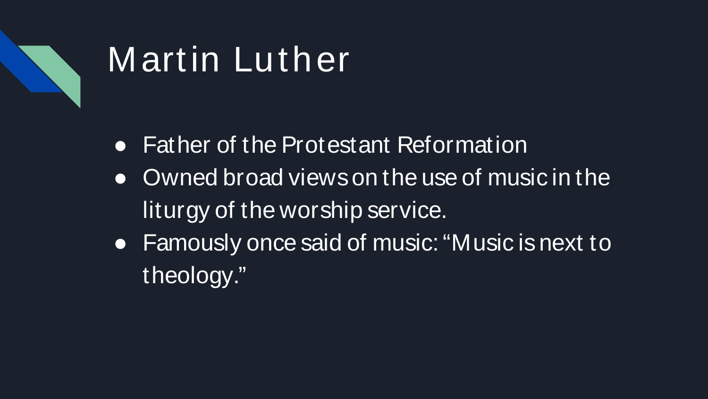

### Martin Luther

- Father of the Protestant Reformation
- Owned broad views on the use of music in the liturgy of the worship service.
- Famously once said of music: "Music is next to theology."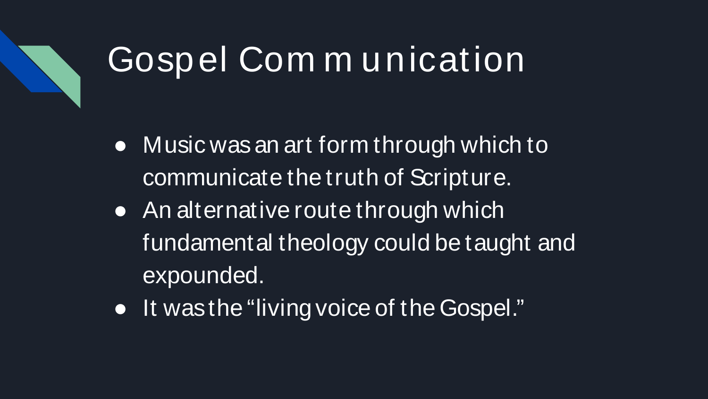## Gospel Com m unication

- Music was an art form through which to communicate the truth of Scripture.
- An alternative route through which fundamental theology could be taught and expounded.
- It was the "living voice of the Gospel."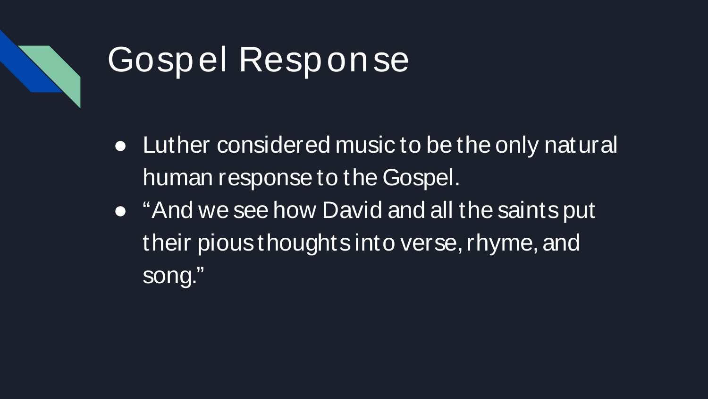

#### Gospel Response

- Luther considered music to be the only natural human response to the Gospel.
- "And we see how David and all the saints put their pious thoughts into verse, rhyme, and song."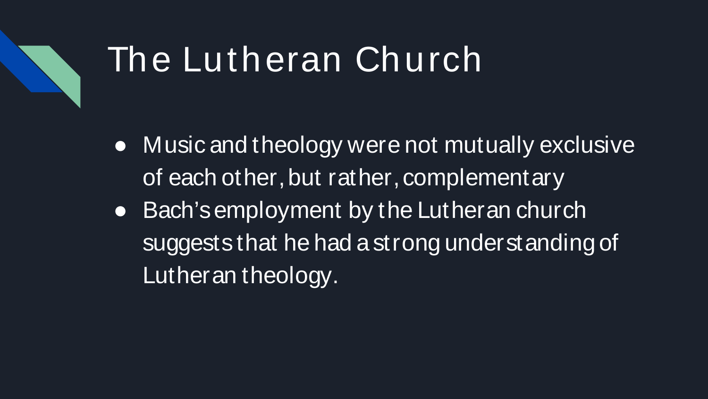#### The Lutheran Church

- Music and theology were not mutually exclusive of each other, but rather, complementary
- Bach's employment by the Lutheran church suggests that he had a strong understanding of Lutheran theology.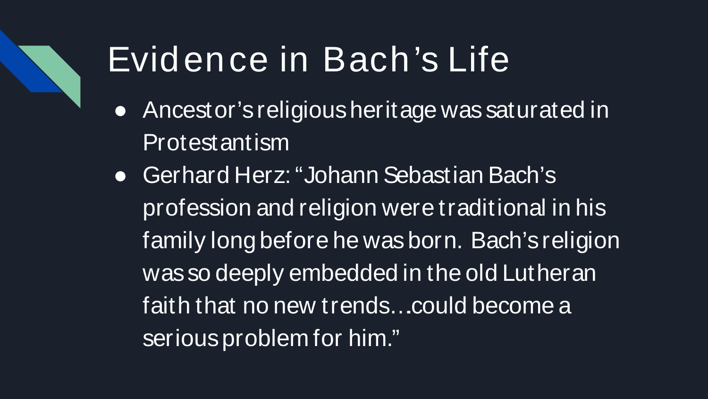## Evidence in Bach's Life

- Ancestor's religious heritage was saturated in Protestantism
- Gerhard Herz: "Johann Sebastian Bach's profession and religion were traditional in his family long before he was born. Bach's religion was so deeply embedded in the old Lutheran faith that no new trends….could become a serious problem for him."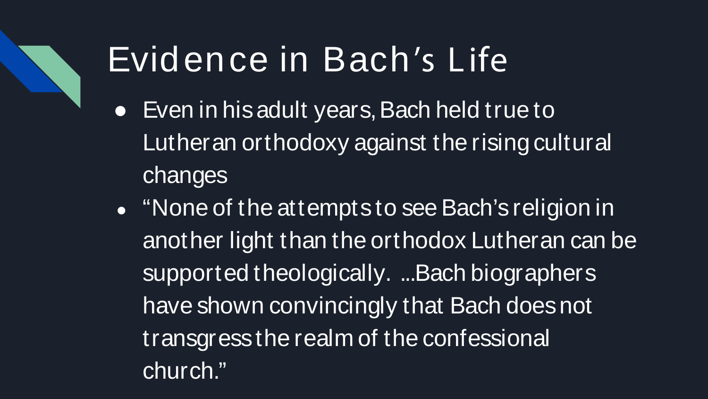### Evidence in Bach's Life

- Even in his adult years, Bach held true to Lutheran orthodoxy against the rising cultural changes
- "None of the attempts to see Bach's religion in another light than the orthodox Lutheran can be supported theologically. ...Bach biographers have shown convincingly that Bach does not transgress the realm of the confessional church."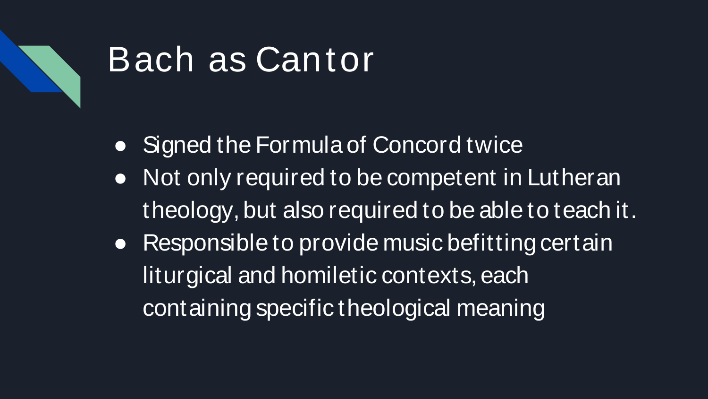

### Bach as Cantor

- Signed the Formula of Concord twice
- Not only required to be competent in Lutheran theology, but also required to be able to teach it.
- Responsible to provide music befitting certain liturgical and homiletic contexts, each containing specific theological meaning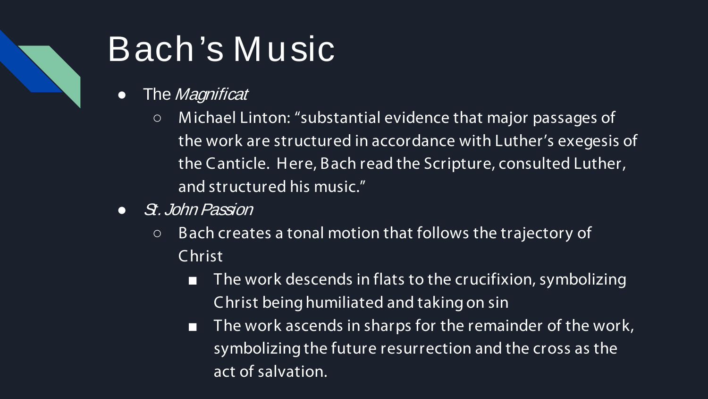## Bach's Music

- The Magnificat
	- M ichael Linton: "substantial evidence that major passages of the work are structured in accordance with Luther's exegesis of the Canticle. Here, Bach read the Scripture, consulted Luther, and structured his music."
- *St. John Passion* 
	- Bach creates a tonal motion that follows the trajectory of Christ
		- The work descends in flats to the crucifixion, symbolizing Christ being humiliated and taking on sin
		- The work ascends in sharps for the remainder of the work, symbolizing the future resurrection and the cross as the act of salvation.